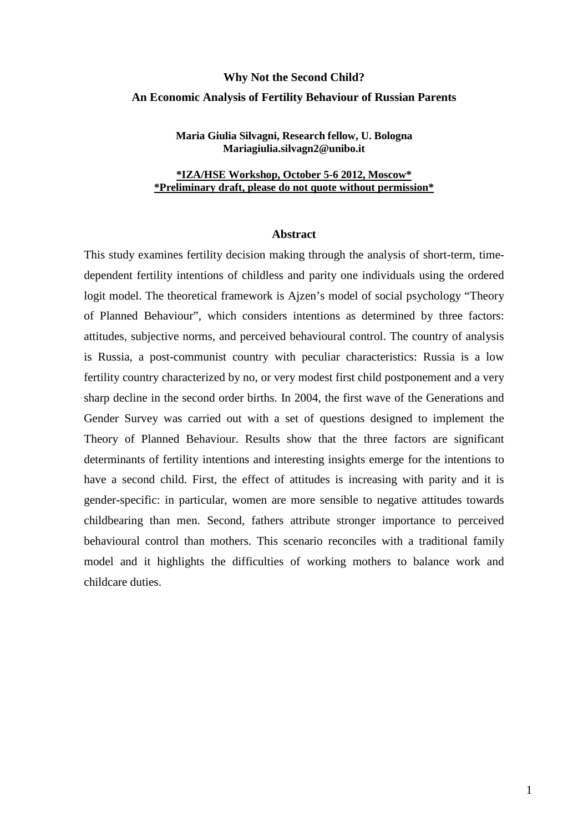# **Why Not the Second Child? An Economic Analysis of Fertility Behaviour of Russian Parents**

**Maria Giulia Silvagni, Research fellow, U. Bologna Mariagiulia.silvagn2@unibo.it** 

**\*IZA/HSE Workshop, October 5-6 2012, Moscow\* \*Preliminary draft, please do not quote without permission\***

## **Abstract**

This study examines fertility decision making through the analysis of short-term, timedependent fertility intentions of childless and parity one individuals using the ordered logit model. The theoretical framework is Ajzen's model of social psychology "Theory of Planned Behaviour", which considers intentions as determined by three factors: attitudes, subjective norms, and perceived behavioural control. The country of analysis is Russia, a post-communist country with peculiar characteristics: Russia is a low fertility country characterized by no, or very modest first child postponement and a very sharp decline in the second order births. In 2004, the first wave of the Generations and Gender Survey was carried out with a set of questions designed to implement the Theory of Planned Behaviour. Results show that the three factors are significant determinants of fertility intentions and interesting insights emerge for the intentions to have a second child. First, the effect of attitudes is increasing with parity and it is gender-specific: in particular, women are more sensible to negative attitudes towards childbearing than men. Second, fathers attribute stronger importance to perceived behavioural control than mothers. This scenario reconciles with a traditional family model and it highlights the difficulties of working mothers to balance work and childcare duties.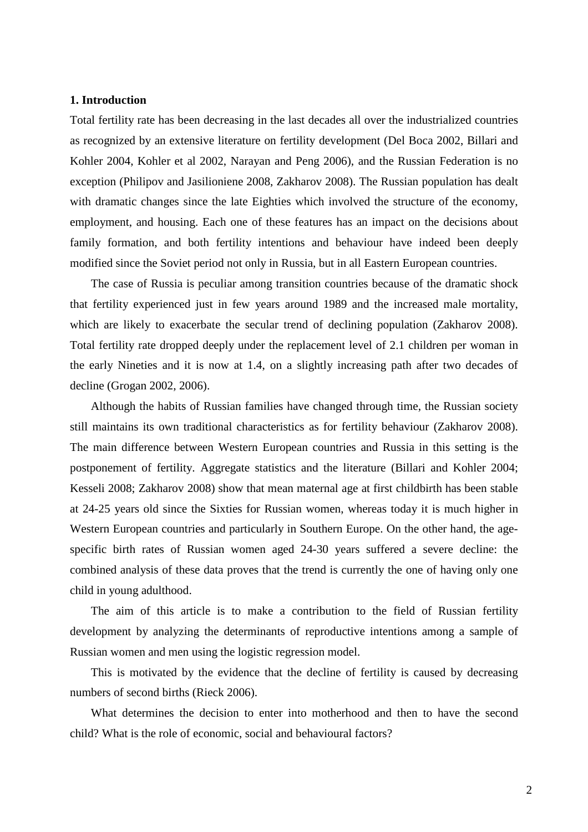### **1. Introduction**

Total fertility rate has been decreasing in the last decades all over the industrialized countries as recognized by an extensive literature on fertility development (Del Boca 2002, Billari and Kohler 2004, Kohler et al 2002, Narayan and Peng 2006), and the Russian Federation is no exception (Philipov and Jasilioniene 2008, Zakharov 2008). The Russian population has dealt with dramatic changes since the late Eighties which involved the structure of the economy, employment, and housing. Each one of these features has an impact on the decisions about family formation, and both fertility intentions and behaviour have indeed been deeply modified since the Soviet period not only in Russia, but in all Eastern European countries.

The case of Russia is peculiar among transition countries because of the dramatic shock that fertility experienced just in few years around 1989 and the increased male mortality, which are likely to exacerbate the secular trend of declining population (Zakharov 2008). Total fertility rate dropped deeply under the replacement level of 2.1 children per woman in the early Nineties and it is now at 1.4, on a slightly increasing path after two decades of decline (Grogan 2002, 2006).

Although the habits of Russian families have changed through time, the Russian society still maintains its own traditional characteristics as for fertility behaviour (Zakharov 2008). The main difference between Western European countries and Russia in this setting is the postponement of fertility. Aggregate statistics and the literature (Billari and Kohler 2004; Kesseli 2008; Zakharov 2008) show that mean maternal age at first childbirth has been stable at 24-25 years old since the Sixties for Russian women, whereas today it is much higher in Western European countries and particularly in Southern Europe. On the other hand, the agespecific birth rates of Russian women aged 24-30 years suffered a severe decline: the combined analysis of these data proves that the trend is currently the one of having only one child in young adulthood.

The aim of this article is to make a contribution to the field of Russian fertility development by analyzing the determinants of reproductive intentions among a sample of Russian women and men using the logistic regression model.

This is motivated by the evidence that the decline of fertility is caused by decreasing numbers of second births (Rieck 2006).

What determines the decision to enter into motherhood and then to have the second child? What is the role of economic, social and behavioural factors?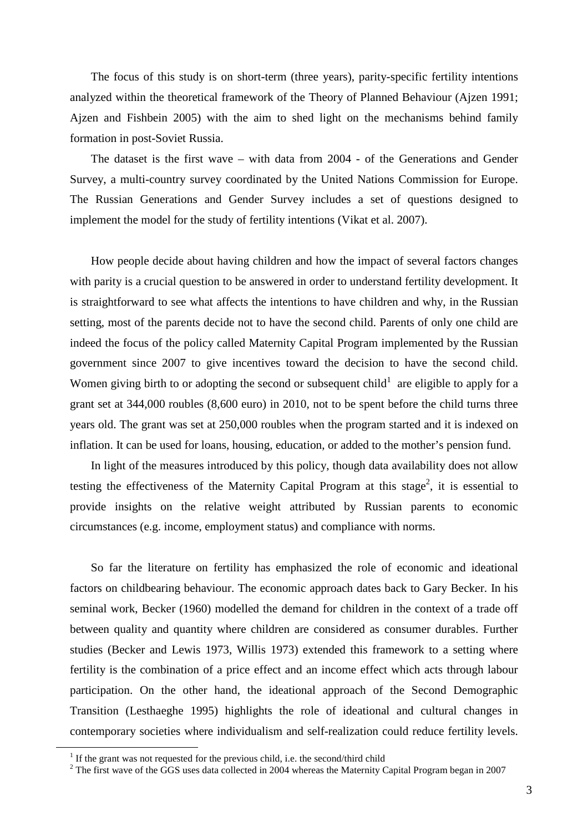The focus of this study is on short-term (three years), parity-specific fertility intentions analyzed within the theoretical framework of the Theory of Planned Behaviour (Ajzen 1991; Ajzen and Fishbein 2005) with the aim to shed light on the mechanisms behind family formation in post-Soviet Russia.

The dataset is the first wave – with data from 2004 - of the Generations and Gender Survey, a multi-country survey coordinated by the United Nations Commission for Europe. The Russian Generations and Gender Survey includes a set of questions designed to implement the model for the study of fertility intentions (Vikat et al. 2007).

How people decide about having children and how the impact of several factors changes with parity is a crucial question to be answered in order to understand fertility development. It is straightforward to see what affects the intentions to have children and why, in the Russian setting, most of the parents decide not to have the second child. Parents of only one child are indeed the focus of the policy called Maternity Capital Program implemented by the Russian government since 2007 to give incentives toward the decision to have the second child. Women giving birth to or adopting the second or subsequent child<sup>1</sup> are eligible to apply for a grant set at 344,000 roubles (8,600 euro) in 2010, not to be spent before the child turns three years old. The grant was set at 250,000 roubles when the program started and it is indexed on inflation. It can be used for loans, housing, education, or added to the mother's pension fund.

In light of the measures introduced by this policy, though data availability does not allow testing the effectiveness of the Maternity Capital Program at this stage<sup>2</sup>, it is essential to provide insights on the relative weight attributed by Russian parents to economic circumstances (e.g. income, employment status) and compliance with norms.

So far the literature on fertility has emphasized the role of economic and ideational factors on childbearing behaviour. The economic approach dates back to Gary Becker. In his seminal work, Becker (1960) modelled the demand for children in the context of a trade off between quality and quantity where children are considered as consumer durables. Further studies (Becker and Lewis 1973, Willis 1973) extended this framework to a setting where fertility is the combination of a price effect and an income effect which acts through labour participation. On the other hand, the ideational approach of the Second Demographic Transition (Lesthaeghe 1995) highlights the role of ideational and cultural changes in contemporary societies where individualism and self-realization could reduce fertility levels.

 $\overline{a}$ 

<sup>&</sup>lt;sup>1</sup> If the grant was not requested for the previous child, i.e. the second/third child

 $2$  The first wave of the GGS uses data collected in 2004 whereas the Maternity Capital Program began in 2007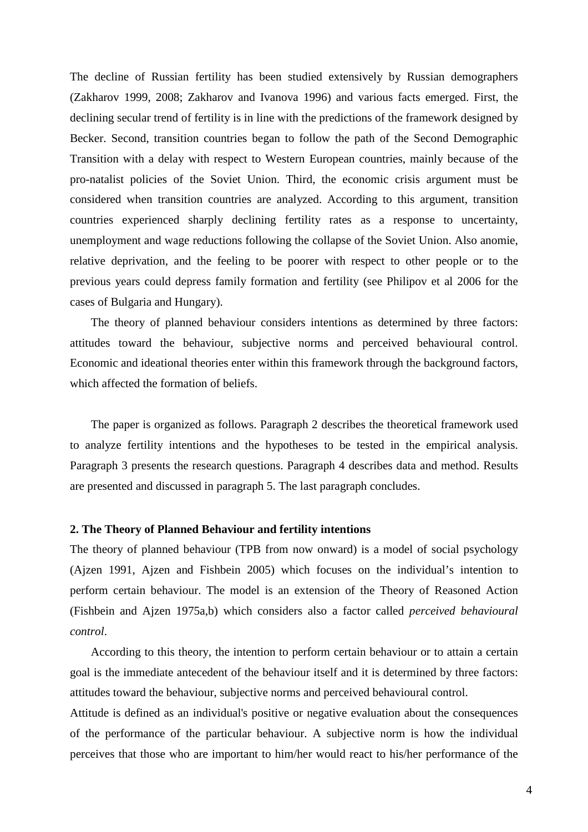The decline of Russian fertility has been studied extensively by Russian demographers (Zakharov 1999, 2008; Zakharov and Ivanova 1996) and various facts emerged. First, the declining secular trend of fertility is in line with the predictions of the framework designed by Becker. Second, transition countries began to follow the path of the Second Demographic Transition with a delay with respect to Western European countries, mainly because of the pro-natalist policies of the Soviet Union. Third, the economic crisis argument must be considered when transition countries are analyzed. According to this argument, transition countries experienced sharply declining fertility rates as a response to uncertainty, unemployment and wage reductions following the collapse of the Soviet Union. Also anomie, relative deprivation, and the feeling to be poorer with respect to other people or to the previous years could depress family formation and fertility (see Philipov et al 2006 for the cases of Bulgaria and Hungary).

The theory of planned behaviour considers intentions as determined by three factors: attitudes toward the behaviour, subjective norms and perceived behavioural control. Economic and ideational theories enter within this framework through the background factors, which affected the formation of beliefs.

The paper is organized as follows. Paragraph 2 describes the theoretical framework used to analyze fertility intentions and the hypotheses to be tested in the empirical analysis. Paragraph 3 presents the research questions. Paragraph 4 describes data and method. Results are presented and discussed in paragraph 5. The last paragraph concludes.

#### **2. The Theory of Planned Behaviour and fertility intentions**

The theory of planned behaviour (TPB from now onward) is a model of social psychology (Ajzen 1991, Ajzen and Fishbein 2005) which focuses on the individual's intention to perform certain behaviour. The model is an extension of the Theory of Reasoned Action (Fishbein and Ajzen 1975a,b) which considers also a factor called *perceived behavioural control*.

According to this theory, the intention to perform certain behaviour or to attain a certain goal is the immediate antecedent of the behaviour itself and it is determined by three factors: attitudes toward the behaviour, subjective norms and perceived behavioural control.

Attitude is defined as an individual's positive or negative evaluation about the consequences of the performance of the particular behaviour. A subjective norm is how the individual perceives that those who are important to him/her would react to his/her performance of the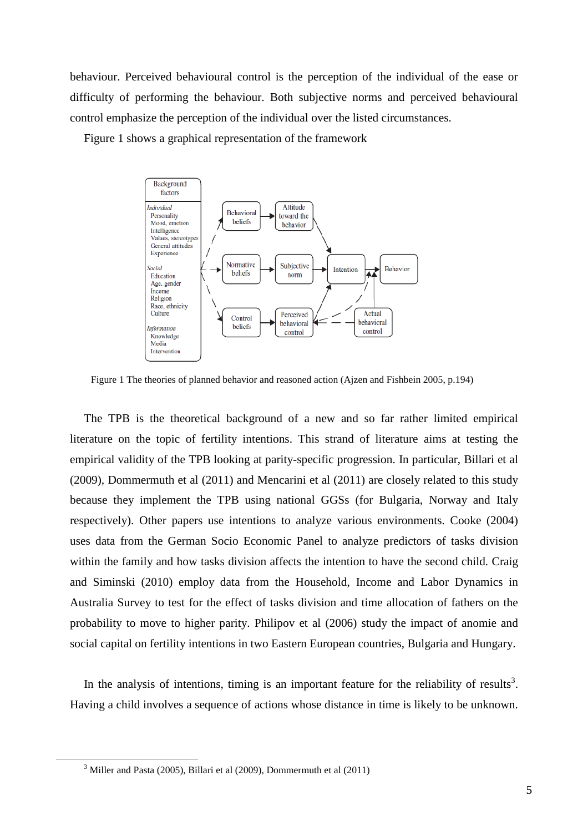behaviour. Perceived behavioural control is the perception of the individual of the ease or difficulty of performing the behaviour. Both subjective norms and perceived behavioural control emphasize the perception of the individual over the listed circumstances.

Figure 1 shows a graphical representation of the framework



Figure 1 The theories of planned behavior and reasoned action (Ajzen and Fishbein 2005, p.194)

The TPB is the theoretical background of a new and so far rather limited empirical literature on the topic of fertility intentions. This strand of literature aims at testing the empirical validity of the TPB looking at parity-specific progression. In particular, Billari et al (2009), Dommermuth et al (2011) and Mencarini et al (2011) are closely related to this study because they implement the TPB using national GGSs (for Bulgaria, Norway and Italy respectively). Other papers use intentions to analyze various environments. Cooke (2004) uses data from the German Socio Economic Panel to analyze predictors of tasks division within the family and how tasks division affects the intention to have the second child. Craig and Siminski (2010) employ data from the Household, Income and Labor Dynamics in Australia Survey to test for the effect of tasks division and time allocation of fathers on the probability to move to higher parity. Philipov et al (2006) study the impact of anomie and social capital on fertility intentions in two Eastern European countries, Bulgaria and Hungary.

In the analysis of intentions, timing is an important feature for the reliability of results<sup>3</sup>. Having a child involves a sequence of actions whose distance in time is likely to be unknown.

 $\overline{a}$ 

 $3$  Miller and Pasta (2005), Billari et al (2009), Dommermuth et al (2011)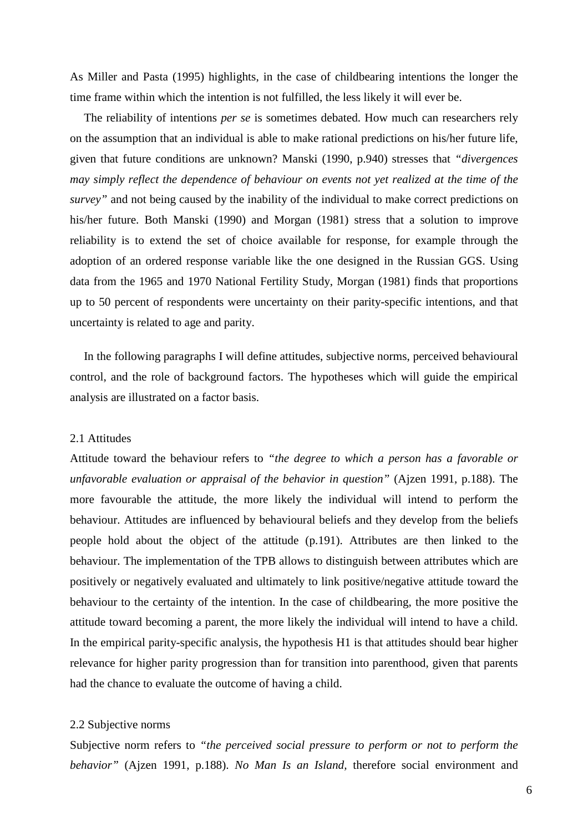As Miller and Pasta (1995) highlights, in the case of childbearing intentions the longer the time frame within which the intention is not fulfilled, the less likely it will ever be.

The reliability of intentions *per se* is sometimes debated. How much can researchers rely on the assumption that an individual is able to make rational predictions on his/her future life, given that future conditions are unknown? Manski (1990, p.940) stresses that *"divergences may simply reflect the dependence of behaviour on events not yet realized at the time of the survey"* and not being caused by the inability of the individual to make correct predictions on his/her future. Both Manski (1990) and Morgan (1981) stress that a solution to improve reliability is to extend the set of choice available for response, for example through the adoption of an ordered response variable like the one designed in the Russian GGS. Using data from the 1965 and 1970 National Fertility Study, Morgan (1981) finds that proportions up to 50 percent of respondents were uncertainty on their parity-specific intentions, and that uncertainty is related to age and parity.

In the following paragraphs I will define attitudes, subjective norms, perceived behavioural control, and the role of background factors. The hypotheses which will guide the empirical analysis are illustrated on a factor basis.

## 2.1 Attitudes

Attitude toward the behaviour refers to *"the degree to which a person has a favorable or unfavorable evaluation or appraisal of the behavior in question"* (Ajzen 1991, p.188). The more favourable the attitude, the more likely the individual will intend to perform the behaviour. Attitudes are influenced by behavioural beliefs and they develop from the beliefs people hold about the object of the attitude (p.191). Attributes are then linked to the behaviour. The implementation of the TPB allows to distinguish between attributes which are positively or negatively evaluated and ultimately to link positive/negative attitude toward the behaviour to the certainty of the intention. In the case of childbearing, the more positive the attitude toward becoming a parent, the more likely the individual will intend to have a child. In the empirical parity-specific analysis, the hypothesis H1 is that attitudes should bear higher relevance for higher parity progression than for transition into parenthood, given that parents had the chance to evaluate the outcome of having a child.

## 2.2 Subjective norms

Subjective norm refers to *"the perceived social pressure to perform or not to perform the behavior"* (Ajzen 1991, p.188). *No Man Is an Island,* therefore social environment and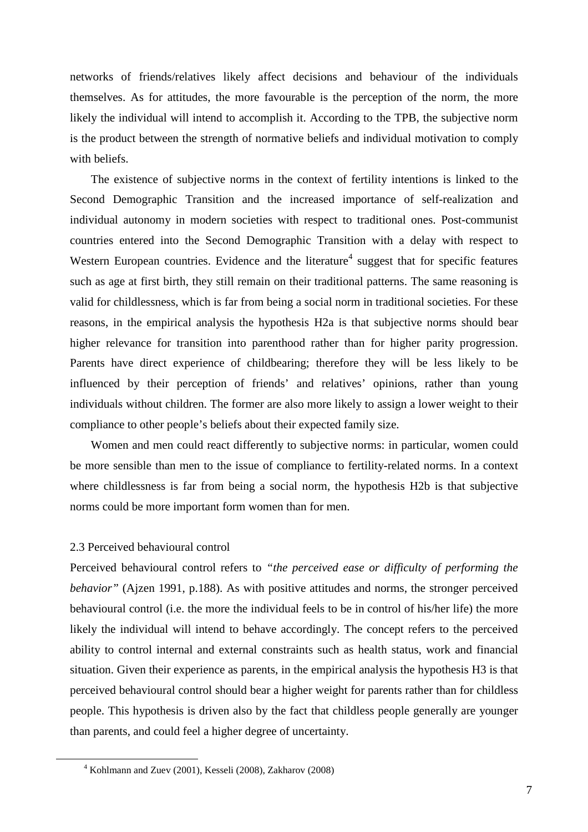networks of friends/relatives likely affect decisions and behaviour of the individuals themselves. As for attitudes, the more favourable is the perception of the norm, the more likely the individual will intend to accomplish it. According to the TPB, the subjective norm is the product between the strength of normative beliefs and individual motivation to comply with beliefs.

The existence of subjective norms in the context of fertility intentions is linked to the Second Demographic Transition and the increased importance of self-realization and individual autonomy in modern societies with respect to traditional ones. Post-communist countries entered into the Second Demographic Transition with a delay with respect to Western European countries. Evidence and the literature<sup>4</sup> suggest that for specific features such as age at first birth, they still remain on their traditional patterns. The same reasoning is valid for childlessness, which is far from being a social norm in traditional societies. For these reasons, in the empirical analysis the hypothesis H2a is that subjective norms should bear higher relevance for transition into parenthood rather than for higher parity progression. Parents have direct experience of childbearing; therefore they will be less likely to be influenced by their perception of friends' and relatives' opinions, rather than young individuals without children. The former are also more likely to assign a lower weight to their compliance to other people's beliefs about their expected family size.

Women and men could react differently to subjective norms: in particular, women could be more sensible than men to the issue of compliance to fertility-related norms. In a context where childlessness is far from being a social norm, the hypothesis H2b is that subjective norms could be more important form women than for men.

## 2.3 Perceived behavioural control

 $\overline{a}$ 

Perceived behavioural control refers to *"the perceived ease or difficulty of performing the behavior*" (Ajzen 1991, p.188). As with positive attitudes and norms, the stronger perceived behavioural control (i.e. the more the individual feels to be in control of his/her life) the more likely the individual will intend to behave accordingly. The concept refers to the perceived ability to control internal and external constraints such as health status, work and financial situation. Given their experience as parents, in the empirical analysis the hypothesis H3 is that perceived behavioural control should bear a higher weight for parents rather than for childless people. This hypothesis is driven also by the fact that childless people generally are younger than parents, and could feel a higher degree of uncertainty.

<sup>4</sup> Kohlmann and Zuev (2001), Kesseli (2008), Zakharov (2008)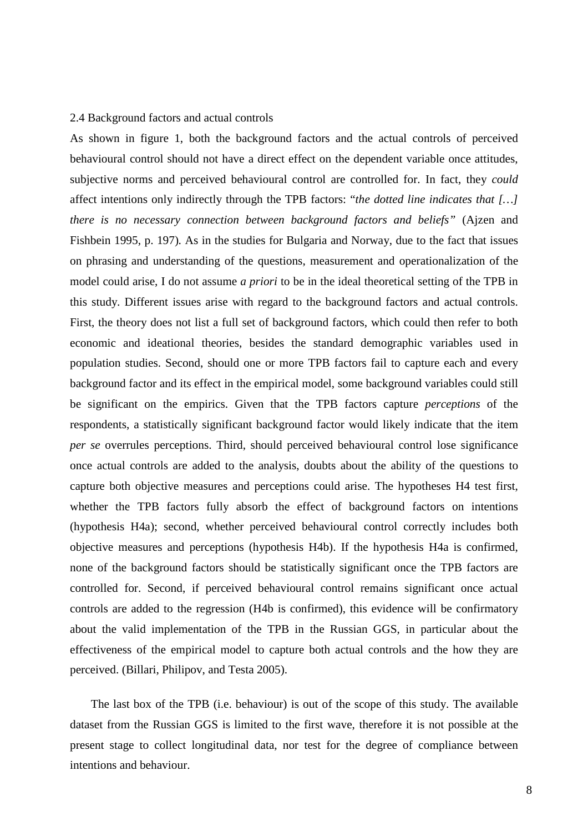#### 2.4 Background factors and actual controls

As shown in figure 1, both the background factors and the actual controls of perceived behavioural control should not have a direct effect on the dependent variable once attitudes, subjective norms and perceived behavioural control are controlled for. In fact, they *could* affect intentions only indirectly through the TPB factors: "*the dotted line indicates that […] there is no necessary connection between background factors and beliefs"* (Ajzen and Fishbein 1995, p. 197)*.* As in the studies for Bulgaria and Norway, due to the fact that issues on phrasing and understanding of the questions, measurement and operationalization of the model could arise, I do not assume *a priori* to be in the ideal theoretical setting of the TPB in this study. Different issues arise with regard to the background factors and actual controls. First, the theory does not list a full set of background factors, which could then refer to both economic and ideational theories, besides the standard demographic variables used in population studies. Second, should one or more TPB factors fail to capture each and every background factor and its effect in the empirical model, some background variables could still be significant on the empirics. Given that the TPB factors capture *perceptions* of the respondents, a statistically significant background factor would likely indicate that the item *per se* overrules perceptions. Third, should perceived behavioural control lose significance once actual controls are added to the analysis, doubts about the ability of the questions to capture both objective measures and perceptions could arise. The hypotheses H4 test first, whether the TPB factors fully absorb the effect of background factors on intentions (hypothesis H4a); second, whether perceived behavioural control correctly includes both objective measures and perceptions (hypothesis H4b). If the hypothesis H4a is confirmed, none of the background factors should be statistically significant once the TPB factors are controlled for. Second, if perceived behavioural control remains significant once actual controls are added to the regression (H4b is confirmed), this evidence will be confirmatory about the valid implementation of the TPB in the Russian GGS, in particular about the effectiveness of the empirical model to capture both actual controls and the how they are perceived. (Billari, Philipov, and Testa 2005).

The last box of the TPB (i.e. behaviour) is out of the scope of this study. The available dataset from the Russian GGS is limited to the first wave, therefore it is not possible at the present stage to collect longitudinal data, nor test for the degree of compliance between intentions and behaviour.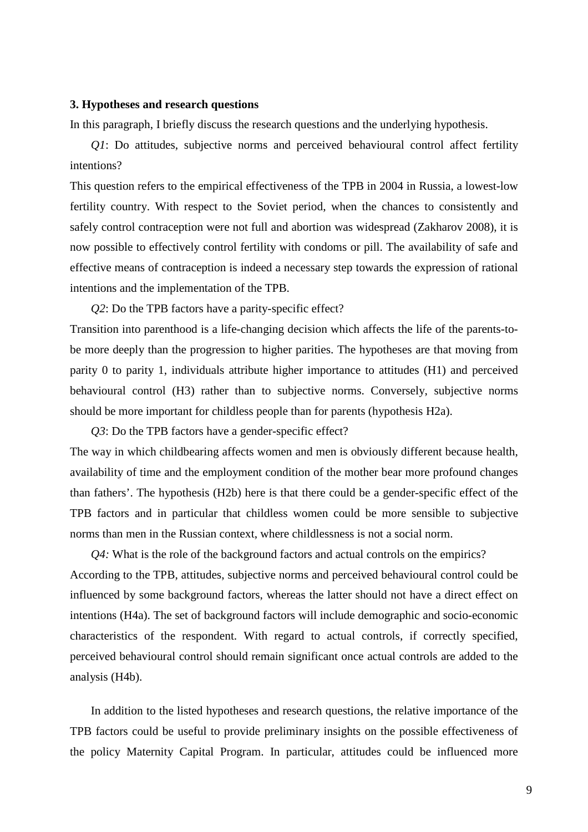#### **3. Hypotheses and research questions**

In this paragraph, I briefly discuss the research questions and the underlying hypothesis.

*Q1*: Do attitudes, subjective norms and perceived behavioural control affect fertility intentions?

This question refers to the empirical effectiveness of the TPB in 2004 in Russia, a lowest-low fertility country. With respect to the Soviet period, when the chances to consistently and safely control contraception were not full and abortion was widespread (Zakharov 2008), it is now possible to effectively control fertility with condoms or pill. The availability of safe and effective means of contraception is indeed a necessary step towards the expression of rational intentions and the implementation of the TPB.

*Q2*: Do the TPB factors have a parity-specific effect? Transition into parenthood is a life-changing decision which affects the life of the parents-tobe more deeply than the progression to higher parities. The hypotheses are that moving from parity 0 to parity 1, individuals attribute higher importance to attitudes (H1) and perceived behavioural control (H3) rather than to subjective norms. Conversely, subjective norms should be more important for childless people than for parents (hypothesis H2a).

*Q3*: Do the TPB factors have a gender-specific effect? The way in which childbearing affects women and men is obviously different because health, availability of time and the employment condition of the mother bear more profound changes than fathers'. The hypothesis (H2b) here is that there could be a gender-specific effect of the TPB factors and in particular that childless women could be more sensible to subjective norms than men in the Russian context, where childlessness is not a social norm.

*Q4:* What is the role of the background factors and actual controls on the empirics? According to the TPB, attitudes, subjective norms and perceived behavioural control could be influenced by some background factors, whereas the latter should not have a direct effect on intentions (H4a). The set of background factors will include demographic and socio-economic characteristics of the respondent. With regard to actual controls, if correctly specified, perceived behavioural control should remain significant once actual controls are added to the analysis (H4b).

In addition to the listed hypotheses and research questions, the relative importance of the TPB factors could be useful to provide preliminary insights on the possible effectiveness of the policy Maternity Capital Program. In particular, attitudes could be influenced more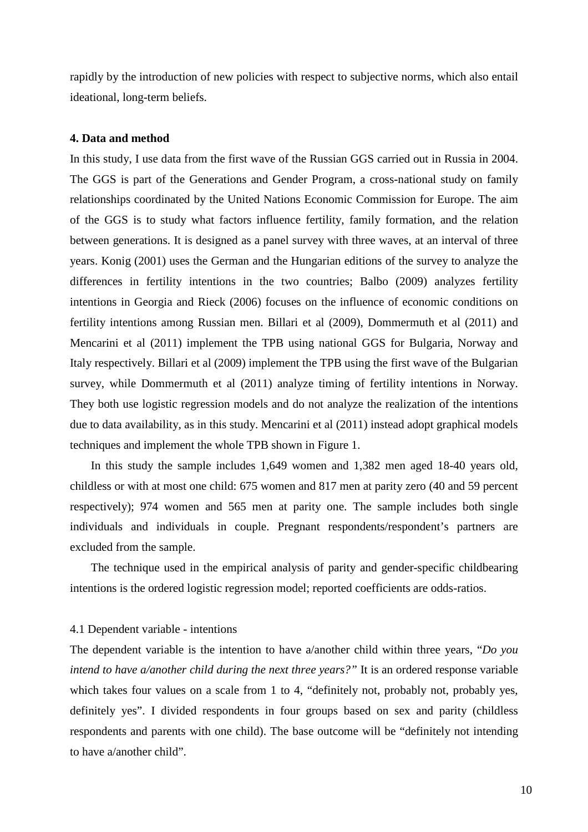rapidly by the introduction of new policies with respect to subjective norms, which also entail ideational, long-term beliefs.

#### **4. Data and method**

In this study, I use data from the first wave of the Russian GGS carried out in Russia in 2004. The GGS is part of the Generations and Gender Program, a cross-national study on family relationships coordinated by the United Nations Economic Commission for Europe. The aim of the GGS is to study what factors influence fertility, family formation, and the relation between generations. It is designed as a panel survey with three waves, at an interval of three years. Konig (2001) uses the German and the Hungarian editions of the survey to analyze the differences in fertility intentions in the two countries; Balbo (2009) analyzes fertility intentions in Georgia and Rieck (2006) focuses on the influence of economic conditions on fertility intentions among Russian men. Billari et al (2009), Dommermuth et al (2011) and Mencarini et al (2011) implement the TPB using national GGS for Bulgaria, Norway and Italy respectively. Billari et al (2009) implement the TPB using the first wave of the Bulgarian survey, while Dommermuth et al (2011) analyze timing of fertility intentions in Norway. They both use logistic regression models and do not analyze the realization of the intentions due to data availability, as in this study. Mencarini et al (2011) instead adopt graphical models techniques and implement the whole TPB shown in Figure 1.

In this study the sample includes 1,649 women and 1,382 men aged 18-40 years old, childless or with at most one child: 675 women and 817 men at parity zero (40 and 59 percent respectively); 974 women and 565 men at parity one. The sample includes both single individuals and individuals in couple. Pregnant respondents/respondent's partners are excluded from the sample.

The technique used in the empirical analysis of parity and gender-specific childbearing intentions is the ordered logistic regression model; reported coefficients are odds-ratios.

#### 4.1 Dependent variable - intentions

The dependent variable is the intention to have a/another child within three years, "*Do you intend to have a/another child during the next three years?"* It is an ordered response variable which takes four values on a scale from 1 to 4, "definitely not, probably not, probably yes, definitely yes". I divided respondents in four groups based on sex and parity (childless respondents and parents with one child). The base outcome will be "definitely not intending to have a/another child".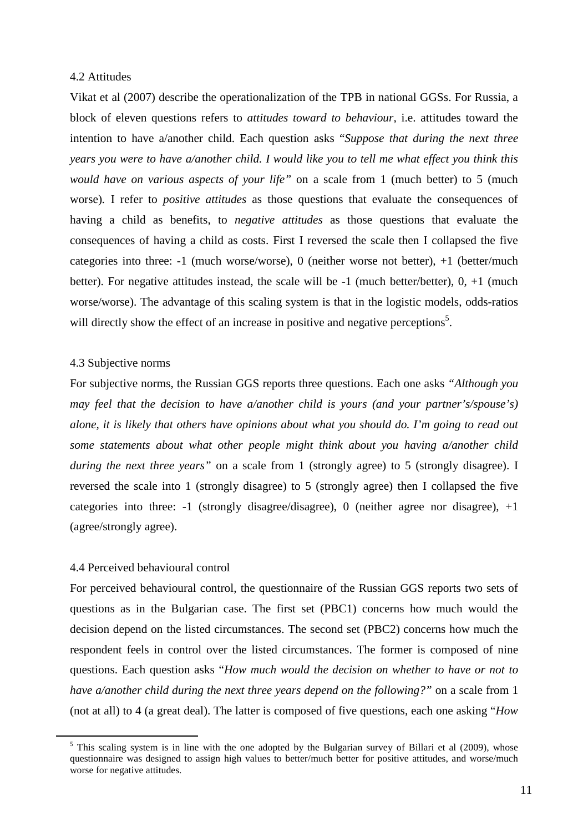## 4.2 Attitudes

Vikat et al (2007) describe the operationalization of the TPB in national GGSs. For Russia, a block of eleven questions refers to *attitudes toward to behaviour,* i.e. attitudes toward the intention to have a/another child. Each question asks "*Suppose that during the next three years you were to have a/another child. I would like you to tell me what effect you think this would have on various aspects of your life"* on a scale from 1 (much better) to 5 (much worse)*.* I refer to *positive attitudes* as those questions that evaluate the consequences of having a child as benefits, to *negative attitudes* as those questions that evaluate the consequences of having a child as costs. First I reversed the scale then I collapsed the five categories into three: -1 (much worse/worse), 0 (neither worse not better), +1 (better/much better). For negative attitudes instead, the scale will be  $-1$  (much better/better),  $0, +1$  (much worse/worse). The advantage of this scaling system is that in the logistic models, odds-ratios will directly show the effect of an increase in positive and negative perceptions<sup>5</sup>.

#### 4.3 Subjective norms

For subjective norms, the Russian GGS reports three questions. Each one asks *"Although you may feel that the decision to have a/another child is yours (and your partner's/spouse's) alone, it is likely that others have opinions about what you should do. I'm going to read out some statements about what other people might think about you having a/another child during the next three years*" on a scale from 1 (strongly agree) to 5 (strongly disagree). I reversed the scale into 1 (strongly disagree) to 5 (strongly agree) then I collapsed the five categories into three:  $-1$  (strongly disagree/disagree), 0 (neither agree nor disagree),  $+1$ (agree/strongly agree).

#### 4.4 Perceived behavioural control

 $\overline{a}$ 

For perceived behavioural control, the questionnaire of the Russian GGS reports two sets of questions as in the Bulgarian case. The first set (PBC1) concerns how much would the decision depend on the listed circumstances. The second set (PBC2) concerns how much the respondent feels in control over the listed circumstances. The former is composed of nine questions. Each question asks "*How much would the decision on whether to have or not to have a/another child during the next three years depend on the following?"* on a scale from 1 (not at all) to 4 (a great deal). The latter is composed of five questions, each one asking "*How* 

 $<sup>5</sup>$  This scaling system is in line with the one adopted by the Bulgarian survey of Billari et al (2009), whose</sup> questionnaire was designed to assign high values to better/much better for positive attitudes, and worse/much worse for negative attitudes.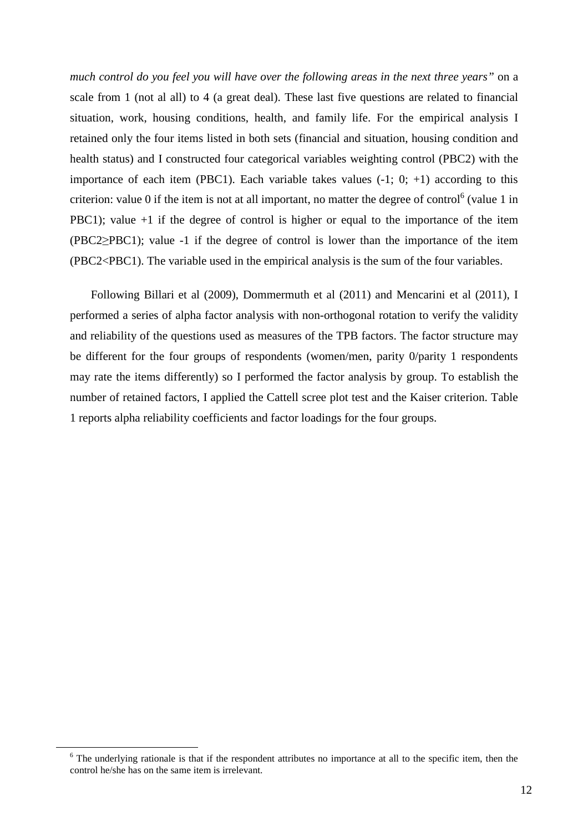*much control do you feel you will have over the following areas in the next three years"* on a scale from 1 (not al all) to 4 (a great deal). These last five questions are related to financial situation, work, housing conditions, health, and family life. For the empirical analysis I retained only the four items listed in both sets (financial and situation, housing condition and health status) and I constructed four categorical variables weighting control (PBC2) with the importance of each item (PBC1). Each variable takes values  $(-1, 0; +1)$  according to this criterion: value  $0$  if the item is not at all important, no matter the degree of control<sup>6</sup> (value 1 in PBC1); value +1 if the degree of control is higher or equal to the importance of the item (PBC2≥PBC1); value -1 if the degree of control is lower than the importance of the item (PBC2<PBC1). The variable used in the empirical analysis is the sum of the four variables.

Following Billari et al (2009), Dommermuth et al (2011) and Mencarini et al (2011), I performed a series of alpha factor analysis with non-orthogonal rotation to verify the validity and reliability of the questions used as measures of the TPB factors. The factor structure may be different for the four groups of respondents (women/men, parity 0/parity 1 respondents may rate the items differently) so I performed the factor analysis by group. To establish the number of retained factors, I applied the Cattell scree plot test and the Kaiser criterion. Table 1 reports alpha reliability coefficients and factor loadings for the four groups.

 $\overline{a}$ 

<sup>&</sup>lt;sup>6</sup> The underlying rationale is that if the respondent attributes no importance at all to the specific item, then the control he/she has on the same item is irrelevant.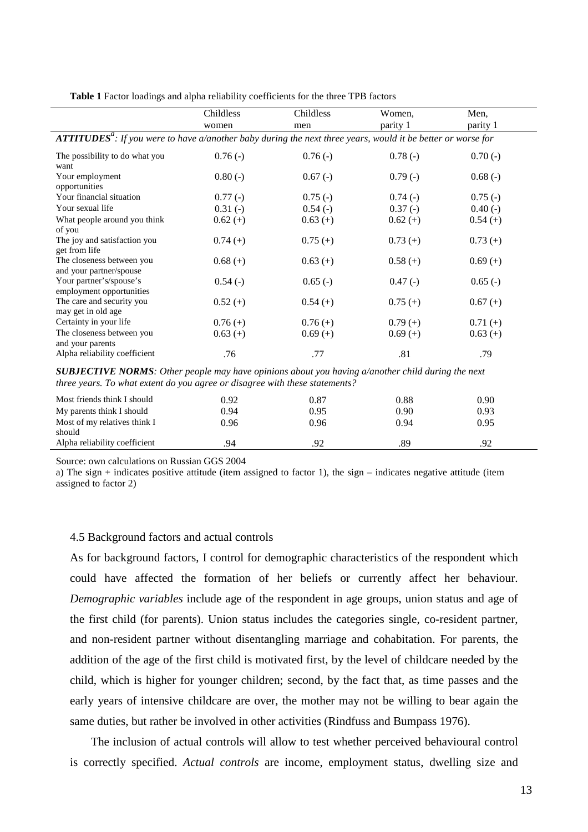**Table 1** Factor loadings and alpha reliability coefficients for the three TPB factors

|                                                                                                                                |            | Childless  |            | Men,       |  |  |  |  |  |
|--------------------------------------------------------------------------------------------------------------------------------|------------|------------|------------|------------|--|--|--|--|--|
|                                                                                                                                | Childless  |            | Women,     |            |  |  |  |  |  |
|                                                                                                                                | women      | men        | parity 1   | parity 1   |  |  |  |  |  |
| <b>ATTITUDES<sup>a</sup></b> : If you were to have a/another baby during the next three years, would it be better or worse for |            |            |            |            |  |  |  |  |  |
| The possibility to do what you<br>want                                                                                         | $0.76(-)$  | $0.76(-)$  | $0.78(-)$  | $0.70(-)$  |  |  |  |  |  |
| Your employment                                                                                                                | $0.80(-)$  | $0.67(-)$  | $0.79(-)$  | $0.68(-)$  |  |  |  |  |  |
| opportunities                                                                                                                  |            |            |            |            |  |  |  |  |  |
| Your financial situation                                                                                                       | $0.77(-)$  | $0.75(-)$  | $0.74(-)$  | $0.75(-)$  |  |  |  |  |  |
| Your sexual life                                                                                                               | $0.31(-)$  | $0.54(-)$  | $0.37(-)$  | $0.40(-)$  |  |  |  |  |  |
| What people around you think                                                                                                   | $0.62 (+)$ | $0.63 (+)$ | $0.62 (+)$ | $0.54(+)$  |  |  |  |  |  |
| of you                                                                                                                         |            |            |            |            |  |  |  |  |  |
| The joy and satisfaction you<br>get from life                                                                                  | $0.74(+)$  | $0.75(+)$  | $0.73(+)$  | $0.73(+)$  |  |  |  |  |  |
| The closeness between you<br>and your partner/spouse                                                                           | $0.68(+)$  | $0.63(+)$  | $0.58(+)$  | $0.69(+)$  |  |  |  |  |  |
| Your partner's/spouse's<br>employment opportunities                                                                            | $0.54(-)$  | $0.65(-)$  | $0.47(-)$  | $0.65(-)$  |  |  |  |  |  |
| The care and security you<br>may get in old age                                                                                | $0.52(+)$  | $0.54(+)$  | $0.75(+)$  | $0.67 (+)$ |  |  |  |  |  |
| Certainty in your life                                                                                                         | $0.76(+)$  | $0.76(+)$  | $0.79(+)$  | $0.71(+)$  |  |  |  |  |  |
| The closeness between you<br>and your parents                                                                                  | $0.63 (+)$ | $0.69(+)$  | $0.69(+)$  | $0.63(+)$  |  |  |  |  |  |
| Alpha reliability coefficient                                                                                                  | .76        | .77        | .81        | .79        |  |  |  |  |  |

*SUBJECTIVE NORMS: Other people may have opinions about you having a/another child during the next three years. To what extent do you agree or disagree with these statements?* 

| Most friends think I should<br>My parents think I should | 0.92<br>0.94 | 0.87<br>0.95 | 0.88<br>0.90 | 0.90<br>0.93 |  |
|----------------------------------------------------------|--------------|--------------|--------------|--------------|--|
| Most of my relatives think I                             | 0.96         | 0.96         | 0.94         | 0.95         |  |
| should<br>Alpha reliability coefficient                  | .94          | .92          | .89          | .92          |  |

Source: own calculations on Russian GGS 2004

a) The sign  $+$  indicates positive attitude (item assigned to factor 1), the sign  $-$  indicates negative attitude (item assigned to factor 2)

#### 4.5 Background factors and actual controls

As for background factors, I control for demographic characteristics of the respondent which could have affected the formation of her beliefs or currently affect her behaviour. *Demographic variables* include age of the respondent in age groups, union status and age of the first child (for parents). Union status includes the categories single, co-resident partner, and non-resident partner without disentangling marriage and cohabitation. For parents, the addition of the age of the first child is motivated first, by the level of childcare needed by the child, which is higher for younger children; second, by the fact that, as time passes and the early years of intensive childcare are over, the mother may not be willing to bear again the same duties, but rather be involved in other activities (Rindfuss and Bumpass 1976).

The inclusion of actual controls will allow to test whether perceived behavioural control is correctly specified. *Actual controls* are income, employment status, dwelling size and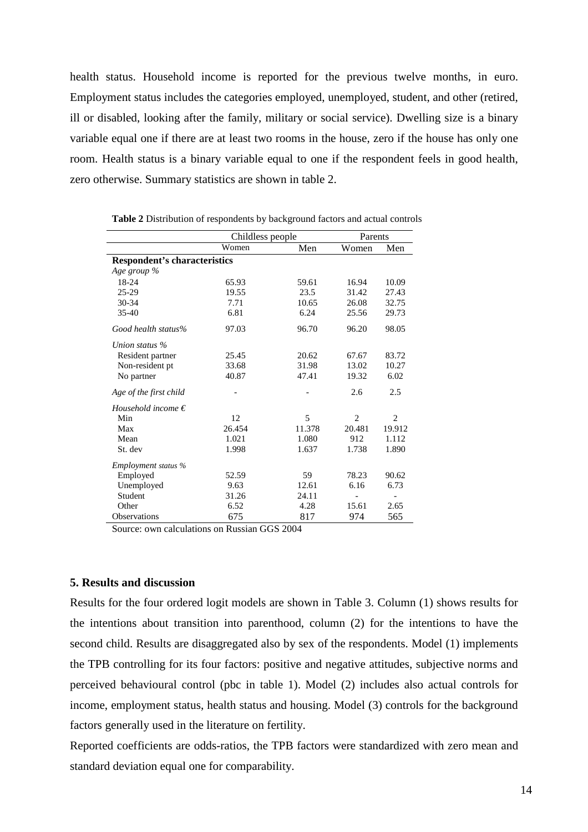health status. Household income is reported for the previous twelve months, in euro. Employment status includes the categories employed, unemployed, student, and other (retired, ill or disabled, looking after the family, military or social service). Dwelling size is a binary variable equal one if there are at least two rooms in the house, zero if the house has only one room. Health status is a binary variable equal to one if the respondent feels in good health, zero otherwise. Summary statistics are shown in table 2.

|                                     | Childless people | Parents |                |        |  |  |  |
|-------------------------------------|------------------|---------|----------------|--------|--|--|--|
|                                     | Women            | Men     | Women          | Men    |  |  |  |
| <b>Respondent's characteristics</b> |                  |         |                |        |  |  |  |
| Age group %                         |                  |         |                |        |  |  |  |
| 18-24                               | 65.93            | 59.61   | 16.94          | 10.09  |  |  |  |
| 25-29                               | 19.55            | 23.5    | 31.42          | 27.43  |  |  |  |
| 30-34                               | 7.71             | 10.65   | 26.08          | 32.75  |  |  |  |
| $35-40$                             | 6.81             | 6.24    | 25.56          | 29.73  |  |  |  |
| Good health status%                 | 97.03            | 96.70   | 96.20          | 98.05  |  |  |  |
| Union status %                      |                  |         |                |        |  |  |  |
| Resident partner                    | 25.45            | 20.62   | 67.67          | 83.72  |  |  |  |
| Non-resident pt                     | 33.68            | 31.98   | 13.02          | 10.27  |  |  |  |
| No partner                          | 40.87            | 47.41   | 19.32          | 6.02   |  |  |  |
| Age of the first child              |                  |         | 2.6            | 2.5    |  |  |  |
| Household income $\epsilon$         |                  |         |                |        |  |  |  |
| Min                                 | 12               | 5       | $\overline{c}$ | 2      |  |  |  |
| Max                                 | 26.454           | 11.378  | 20.481         | 19.912 |  |  |  |
| Mean                                | 1.021            | 1.080   | 912            | 1.112  |  |  |  |
| St. dev                             | 1.998            | 1.637   | 1.738          | 1.890  |  |  |  |
| Employment status %                 |                  |         |                |        |  |  |  |
| Employed                            | 52.59            | 59      | 78.23          | 90.62  |  |  |  |
| Unemployed                          | 9.63             | 12.61   | 6.16           | 6.73   |  |  |  |
| Student                             | 31.26            | 24.11   |                |        |  |  |  |
| Other                               | 6.52             | 4.28    | 15.61          | 2.65   |  |  |  |
| <b>Observations</b>                 | 675              | 817     | 974            | 565    |  |  |  |

**Table 2** Distribution of respondents by background factors and actual controls

Source: own calculations on Russian GGS 2004

## **5. Results and discussion**

Results for the four ordered logit models are shown in Table 3. Column (1) shows results for the intentions about transition into parenthood, column (2) for the intentions to have the second child. Results are disaggregated also by sex of the respondents. Model (1) implements the TPB controlling for its four factors: positive and negative attitudes, subjective norms and perceived behavioural control (pbc in table 1). Model (2) includes also actual controls for income, employment status, health status and housing. Model (3) controls for the background factors generally used in the literature on fertility.

Reported coefficients are odds-ratios, the TPB factors were standardized with zero mean and standard deviation equal one for comparability.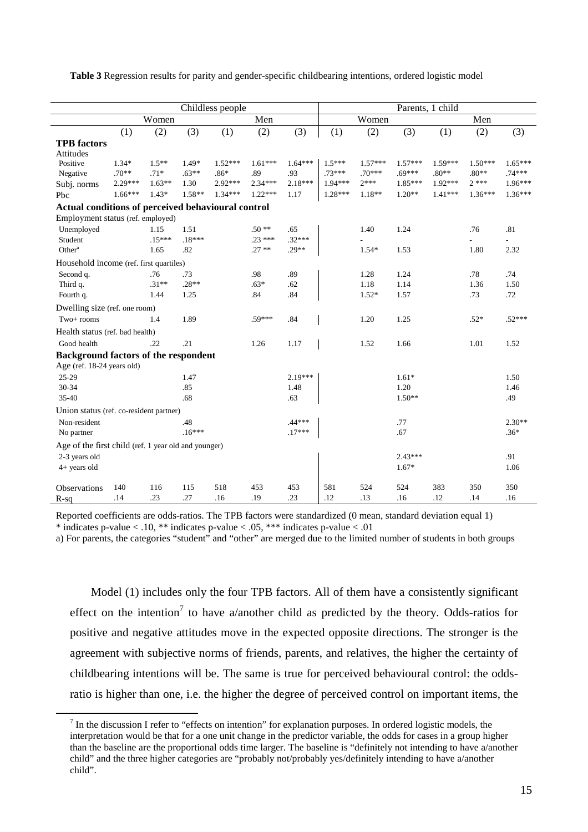**Table 3** Regression results for parity and gender-specific childbearing intentions, ordered logistic model

|                                                      | Childless people |          |          |           | Parents, 1 child |           |           |           |           |           |           |           |
|------------------------------------------------------|------------------|----------|----------|-----------|------------------|-----------|-----------|-----------|-----------|-----------|-----------|-----------|
|                                                      | Women            |          |          | Men       |                  | Women     |           | Men       |           |           |           |           |
|                                                      | (1)              | (2)      | (3)      | (1)       | (2)              | (3)       | (1)       | (2)       | (3)       | (1)       | (2)       | (3)       |
| <b>TPB</b> factors                                   |                  |          |          |           |                  |           |           |           |           |           |           |           |
| Attitudes                                            |                  |          |          |           |                  |           |           |           |           |           |           |           |
| Positive                                             | $1.34*$          | $1.5**$  | $1.49*$  | $1.52***$ | $1.61***$        | $1.64***$ | $1.5***$  | $1.57***$ | $1.57***$ | $1.59***$ | $1.50***$ | $1.65***$ |
| Negative                                             | $.70**$          | $.71*$   | $.63**$  | $.86*$    | .89              | .93       | $.73***$  | $.70***$  | $.69***$  | $.80**$   | $.80**$   | $.74***$  |
| Subj. norms                                          | $2.29***$        | $1.63**$ | 1.30     | 2.92***   | $2.34***$        | $2.18***$ | $1.94***$ | $2***$    | $1.85***$ | $1.92***$ | $2***$    | $1.96***$ |
| Pbc                                                  | $1.66***$        | $1.43*$  | $1.58**$ | $1.34***$ | $1.22***$        | 1.17      | $1.28***$ | $1.18**$  | $1.20**$  | $1.41***$ | $1.36***$ | $1.36***$ |
| Actual conditions of perceived behavioural control   |                  |          |          |           |                  |           |           |           |           |           |           |           |
| Employment status (ref. employed)                    |                  |          |          |           |                  |           |           |           |           |           |           |           |
| Unemployed                                           |                  | 1.15     | 1.51     |           | $.50**$          | .65       |           | 1.40      | 1.24      |           | .76       | .81       |
| Student                                              |                  | $.15***$ | $.18***$ |           | $.23***$         | $.32***$  |           |           |           |           |           |           |
| Other <sup>a</sup>                                   |                  | 1.65     | .82      |           | $.27**$          | $.29**$   |           | $1.54*$   | 1.53      |           | 1.80      | 2.32      |
| Household income (ref. first quartiles)              |                  |          |          |           |                  |           |           |           |           |           |           |           |
| Second q.                                            |                  | .76      | .73      |           | .98              | .89       |           | 1.28      | 1.24      |           | .78       | .74       |
| Third q.                                             |                  | $.31**$  | $.28**$  |           | $.63*$           | .62       |           | 1.18      | 1.14      |           | 1.36      | 1.50      |
| Fourth q.                                            |                  | 1.44     | 1.25     |           | .84              | .84       |           | $1.52*$   | 1.57      |           | .73       | .72       |
| Dwelling size (ref. one room)                        |                  |          |          |           |                  |           |           |           |           |           |           |           |
| Two+ rooms                                           |                  | 1.4      | 1.89     |           | $.59***$         | .84       |           | 1.20      | 1.25      |           | $.52*$    | $.52***$  |
| Health status (ref. bad health)                      |                  |          |          |           |                  |           |           |           |           |           |           |           |
| Good health                                          |                  | .22      | .21      |           | 1.26             | 1.17      |           | 1.52      | 1.66      |           | 1.01      | 1.52      |
| <b>Background factors of the respondent</b>          |                  |          |          |           |                  |           |           |           |           |           |           |           |
| Age (ref. 18-24 years old)                           |                  |          |          |           |                  |           |           |           |           |           |           |           |
| 25-29                                                |                  |          | 1.47     |           |                  | $2.19***$ |           |           | $1.61*$   |           |           | 1.50      |
| 30-34                                                |                  |          | .85      |           |                  | 1.48      |           |           | 1.20      |           |           | 1.46      |
| $35 - 40$                                            |                  |          | .68      |           |                  | .63       |           |           | $1.50**$  |           |           | .49       |
| Union status (ref. co-resident partner)              |                  |          |          |           |                  |           |           |           |           |           |           |           |
| Non-resident                                         |                  |          | .48      |           |                  | $.44***$  |           |           | .77       |           |           | $2.30**$  |
| No partner                                           |                  |          | $.16***$ |           |                  | $.17***$  |           |           | .67       |           |           | $.36*$    |
| Age of the first child (ref. 1 year old and younger) |                  |          |          |           |                  |           |           |           |           |           |           |           |
| 2-3 years old                                        |                  |          |          |           |                  |           |           |           | $2.43***$ |           |           | .91       |
| 4+ years old                                         |                  |          |          |           |                  |           |           |           | $1.67*$   |           |           | 1.06      |
|                                                      |                  |          |          |           |                  |           |           |           |           |           |           |           |
| Observations                                         | 140              | 116      | 115      | 518       | 453              | 453       | 581       | 524       | 524       | 383       | 350       | 350       |
| $R-sq$                                               | .14              | .23      | .27      | .16       | .19              | .23       | .12       | .13       | .16       | .12       | .14       | .16       |

Reported coefficients are odds-ratios. The TPB factors were standardized (0 mean, standard deviation equal 1)

\* indicates p-value  $< 0.10$ , \*\* indicates p-value  $< 0.05$ , \*\*\* indicates p-value  $< 0.01$ 

 $\overline{a}$ 

a) For parents, the categories "student" and "other" are merged due to the limited number of students in both groups

Model (1) includes only the four TPB factors. All of them have a consistently significant effect on the intention<sup>7</sup> to have a/another child as predicted by the theory. Odds-ratios for positive and negative attitudes move in the expected opposite directions. The stronger is the agreement with subjective norms of friends, parents, and relatives, the higher the certainty of childbearing intentions will be. The same is true for perceived behavioural control: the oddsratio is higher than one, i.e. the higher the degree of perceived control on important items, the

 $<sup>7</sup>$  In the discussion I refer to "effects on intention" for explanation purposes. In ordered logistic models, the</sup> interpretation would be that for a one unit change in the predictor variable, the odds for cases in a group higher than the baseline are the proportional odds time larger. The baseline is "definitely not intending to have a/another child" and the three higher categories are "probably not/probably yes/definitely intending to have a/another child".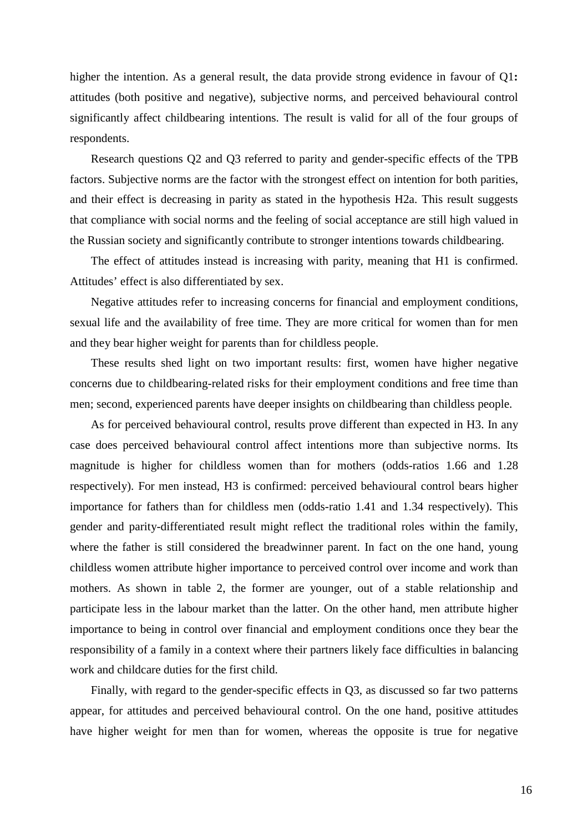higher the intention. As a general result, the data provide strong evidence in favour of Q1**:** attitudes (both positive and negative), subjective norms, and perceived behavioural control significantly affect childbearing intentions. The result is valid for all of the four groups of respondents.

Research questions Q2 and Q3 referred to parity and gender-specific effects of the TPB factors. Subjective norms are the factor with the strongest effect on intention for both parities, and their effect is decreasing in parity as stated in the hypothesis H2a. This result suggests that compliance with social norms and the feeling of social acceptance are still high valued in the Russian society and significantly contribute to stronger intentions towards childbearing.

The effect of attitudes instead is increasing with parity, meaning that H1 is confirmed. Attitudes' effect is also differentiated by sex.

Negative attitudes refer to increasing concerns for financial and employment conditions, sexual life and the availability of free time. They are more critical for women than for men and they bear higher weight for parents than for childless people.

These results shed light on two important results: first, women have higher negative concerns due to childbearing-related risks for their employment conditions and free time than men; second, experienced parents have deeper insights on childbearing than childless people.

As for perceived behavioural control, results prove different than expected in H3. In any case does perceived behavioural control affect intentions more than subjective norms. Its magnitude is higher for childless women than for mothers (odds-ratios 1.66 and 1.28 respectively). For men instead, H3 is confirmed: perceived behavioural control bears higher importance for fathers than for childless men (odds-ratio 1.41 and 1.34 respectively). This gender and parity-differentiated result might reflect the traditional roles within the family, where the father is still considered the breadwinner parent. In fact on the one hand, young childless women attribute higher importance to perceived control over income and work than mothers. As shown in table 2, the former are younger, out of a stable relationship and participate less in the labour market than the latter. On the other hand, men attribute higher importance to being in control over financial and employment conditions once they bear the responsibility of a family in a context where their partners likely face difficulties in balancing work and childcare duties for the first child.

Finally, with regard to the gender-specific effects in Q3, as discussed so far two patterns appear, for attitudes and perceived behavioural control. On the one hand, positive attitudes have higher weight for men than for women, whereas the opposite is true for negative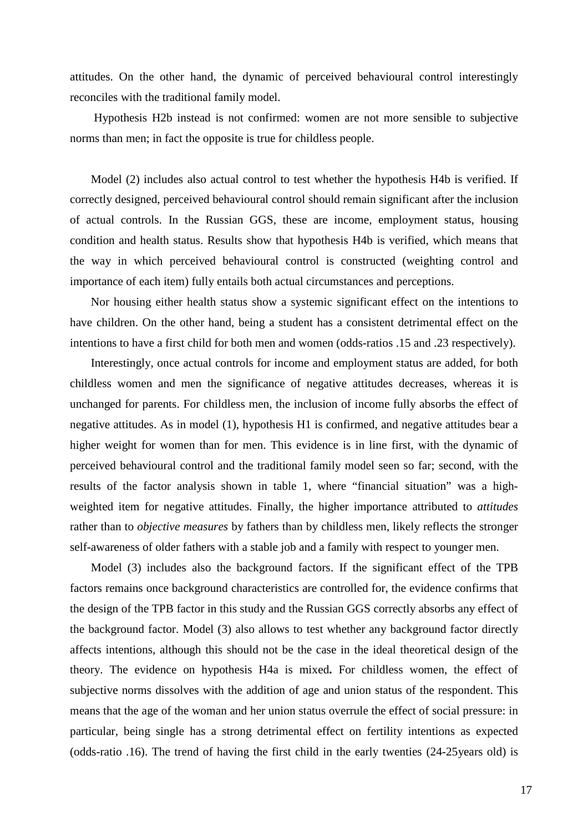attitudes. On the other hand, the dynamic of perceived behavioural control interestingly reconciles with the traditional family model.

 Hypothesis H2b instead is not confirmed: women are not more sensible to subjective norms than men; in fact the opposite is true for childless people.

Model (2) includes also actual control to test whether the hypothesis H4b is verified. If correctly designed, perceived behavioural control should remain significant after the inclusion of actual controls. In the Russian GGS, these are income, employment status, housing condition and health status. Results show that hypothesis H4b is verified, which means that the way in which perceived behavioural control is constructed (weighting control and importance of each item) fully entails both actual circumstances and perceptions.

Nor housing either health status show a systemic significant effect on the intentions to have children. On the other hand, being a student has a consistent detrimental effect on the intentions to have a first child for both men and women (odds-ratios .15 and .23 respectively).

Interestingly, once actual controls for income and employment status are added, for both childless women and men the significance of negative attitudes decreases, whereas it is unchanged for parents. For childless men, the inclusion of income fully absorbs the effect of negative attitudes. As in model (1), hypothesis H1 is confirmed, and negative attitudes bear a higher weight for women than for men. This evidence is in line first, with the dynamic of perceived behavioural control and the traditional family model seen so far; second, with the results of the factor analysis shown in table 1, where "financial situation" was a highweighted item for negative attitudes. Finally, the higher importance attributed to *attitudes* rather than to *objective measures* by fathers than by childless men, likely reflects the stronger self-awareness of older fathers with a stable job and a family with respect to younger men.

Model (3) includes also the background factors. If the significant effect of the TPB factors remains once background characteristics are controlled for, the evidence confirms that the design of the TPB factor in this study and the Russian GGS correctly absorbs any effect of the background factor. Model (3) also allows to test whether any background factor directly affects intentions, although this should not be the case in the ideal theoretical design of the theory. The evidence on hypothesis H4a is mixed**.** For childless women, the effect of subjective norms dissolves with the addition of age and union status of the respondent. This means that the age of the woman and her union status overrule the effect of social pressure: in particular, being single has a strong detrimental effect on fertility intentions as expected (odds-ratio .16). The trend of having the first child in the early twenties (24-25years old) is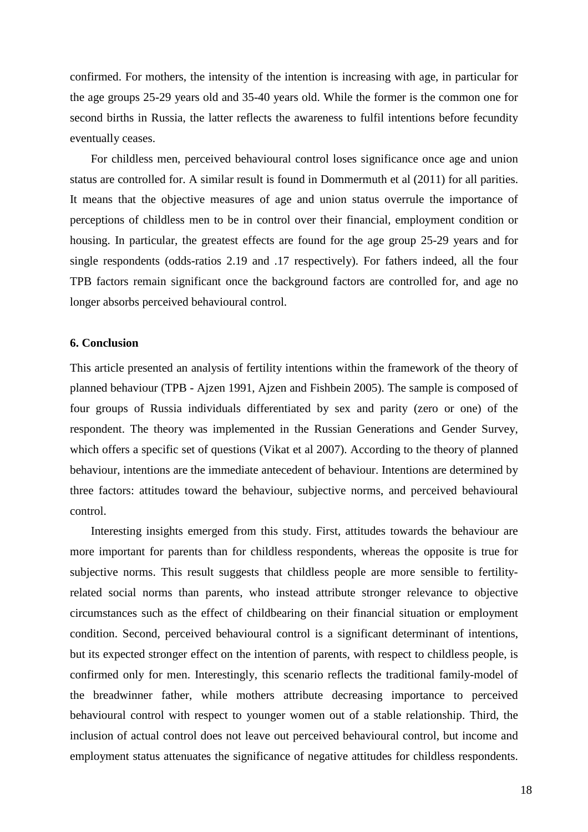confirmed. For mothers, the intensity of the intention is increasing with age, in particular for the age groups 25-29 years old and 35-40 years old. While the former is the common one for second births in Russia, the latter reflects the awareness to fulfil intentions before fecundity eventually ceases.

For childless men, perceived behavioural control loses significance once age and union status are controlled for. A similar result is found in Dommermuth et al (2011) for all parities. It means that the objective measures of age and union status overrule the importance of perceptions of childless men to be in control over their financial, employment condition or housing. In particular, the greatest effects are found for the age group 25-29 years and for single respondents (odds-ratios 2.19 and .17 respectively). For fathers indeed, all the four TPB factors remain significant once the background factors are controlled for, and age no longer absorbs perceived behavioural control.

## **6. Conclusion**

This article presented an analysis of fertility intentions within the framework of the theory of planned behaviour (TPB - Ajzen 1991, Ajzen and Fishbein 2005). The sample is composed of four groups of Russia individuals differentiated by sex and parity (zero or one) of the respondent. The theory was implemented in the Russian Generations and Gender Survey, which offers a specific set of questions (Vikat et al 2007). According to the theory of planned behaviour, intentions are the immediate antecedent of behaviour. Intentions are determined by three factors: attitudes toward the behaviour, subjective norms, and perceived behavioural control.

 Interesting insights emerged from this study. First, attitudes towards the behaviour are more important for parents than for childless respondents, whereas the opposite is true for subjective norms. This result suggests that childless people are more sensible to fertilityrelated social norms than parents, who instead attribute stronger relevance to objective circumstances such as the effect of childbearing on their financial situation or employment condition. Second, perceived behavioural control is a significant determinant of intentions, but its expected stronger effect on the intention of parents, with respect to childless people, is confirmed only for men. Interestingly, this scenario reflects the traditional family-model of the breadwinner father, while mothers attribute decreasing importance to perceived behavioural control with respect to younger women out of a stable relationship. Third, the inclusion of actual control does not leave out perceived behavioural control, but income and employment status attenuates the significance of negative attitudes for childless respondents.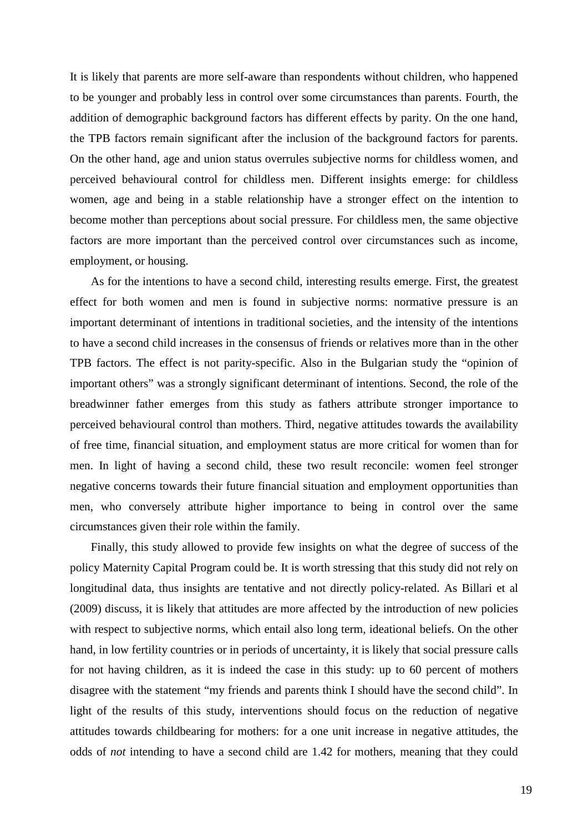It is likely that parents are more self-aware than respondents without children, who happened to be younger and probably less in control over some circumstances than parents. Fourth, the addition of demographic background factors has different effects by parity. On the one hand, the TPB factors remain significant after the inclusion of the background factors for parents. On the other hand, age and union status overrules subjective norms for childless women, and perceived behavioural control for childless men. Different insights emerge: for childless women, age and being in a stable relationship have a stronger effect on the intention to become mother than perceptions about social pressure. For childless men, the same objective factors are more important than the perceived control over circumstances such as income, employment, or housing.

 As for the intentions to have a second child, interesting results emerge. First, the greatest effect for both women and men is found in subjective norms: normative pressure is an important determinant of intentions in traditional societies, and the intensity of the intentions to have a second child increases in the consensus of friends or relatives more than in the other TPB factors. The effect is not parity-specific. Also in the Bulgarian study the "opinion of important others" was a strongly significant determinant of intentions. Second, the role of the breadwinner father emerges from this study as fathers attribute stronger importance to perceived behavioural control than mothers. Third, negative attitudes towards the availability of free time, financial situation, and employment status are more critical for women than for men. In light of having a second child, these two result reconcile: women feel stronger negative concerns towards their future financial situation and employment opportunities than men, who conversely attribute higher importance to being in control over the same circumstances given their role within the family.

 Finally, this study allowed to provide few insights on what the degree of success of the policy Maternity Capital Program could be. It is worth stressing that this study did not rely on longitudinal data, thus insights are tentative and not directly policy-related. As Billari et al (2009) discuss, it is likely that attitudes are more affected by the introduction of new policies with respect to subjective norms, which entail also long term, ideational beliefs. On the other hand, in low fertility countries or in periods of uncertainty, it is likely that social pressure calls for not having children, as it is indeed the case in this study: up to 60 percent of mothers disagree with the statement "my friends and parents think I should have the second child". In light of the results of this study, interventions should focus on the reduction of negative attitudes towards childbearing for mothers: for a one unit increase in negative attitudes, the odds of *not* intending to have a second child are 1.42 for mothers, meaning that they could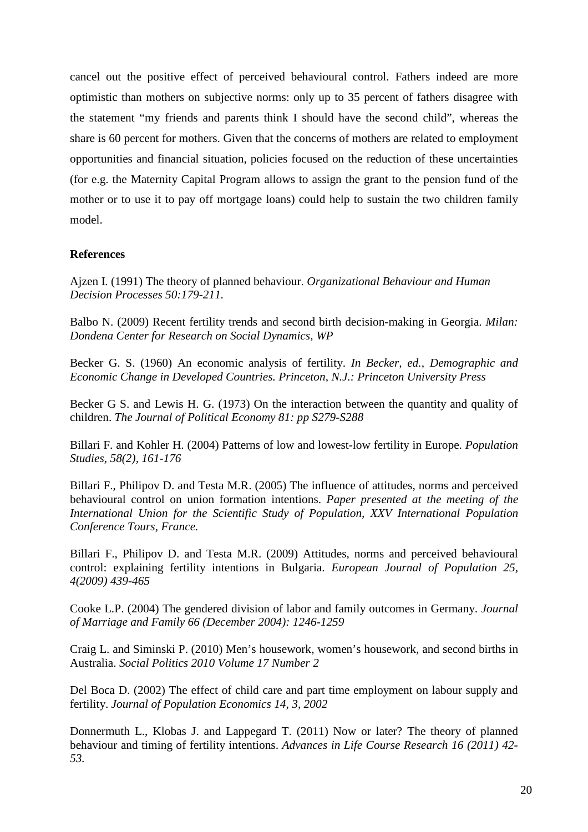cancel out the positive effect of perceived behavioural control. Fathers indeed are more optimistic than mothers on subjective norms: only up to 35 percent of fathers disagree with the statement "my friends and parents think I should have the second child", whereas the share is 60 percent for mothers. Given that the concerns of mothers are related to employment opportunities and financial situation, policies focused on the reduction of these uncertainties (for e.g. the Maternity Capital Program allows to assign the grant to the pension fund of the mother or to use it to pay off mortgage loans) could help to sustain the two children family model.

# **References**

Ajzen I. (1991) The theory of planned behaviour. *Organizational Behaviour and Human Decision Processes 50:179-211.* 

Balbo N. (2009) Recent fertility trends and second birth decision-making in Georgia. *Milan: Dondena Center for Research on Social Dynamics, WP* 

Becker G. S. (1960) An economic analysis of fertility. *In Becker, ed., Demographic and Economic Change in Developed Countries. Princeton, N.J.: Princeton University Press*

Becker G S. and Lewis H. G. (1973) On the interaction between the quantity and quality of children. *The Journal of Political Economy 81: pp S279-S288*

Billari F. and Kohler H. (2004) Patterns of low and lowest-low fertility in Europe. *Population Studies, 58(2), 161-176* 

Billari F., Philipov D. and Testa M.R. (2005) The influence of attitudes, norms and perceived behavioural control on union formation intentions. *Paper presented at the meeting of the International Union for the Scientific Study of Population, XXV International Population Conference Tours, France.* 

Billari F., Philipov D. and Testa M.R. (2009) Attitudes, norms and perceived behavioural control: explaining fertility intentions in Bulgaria. *European Journal of Population 25, 4(2009) 439-465* 

Cooke L.P. (2004) The gendered division of labor and family outcomes in Germany. *Journal of Marriage and Family 66 (December 2004): 1246-1259* 

Craig L. and Siminski P. (2010) Men's housework, women's housework, and second births in Australia. *Social Politics 2010 Volume 17 Number 2* 

Del Boca D. (2002) The effect of child care and part time employment on labour supply and fertility. *Journal of Population Economics 14, 3, 2002*

Donnermuth L., Klobas J. and Lappegard T. (2011) Now or later? The theory of planned behaviour and timing of fertility intentions. *Advances in Life Course Research 16 (2011) 42- 53.*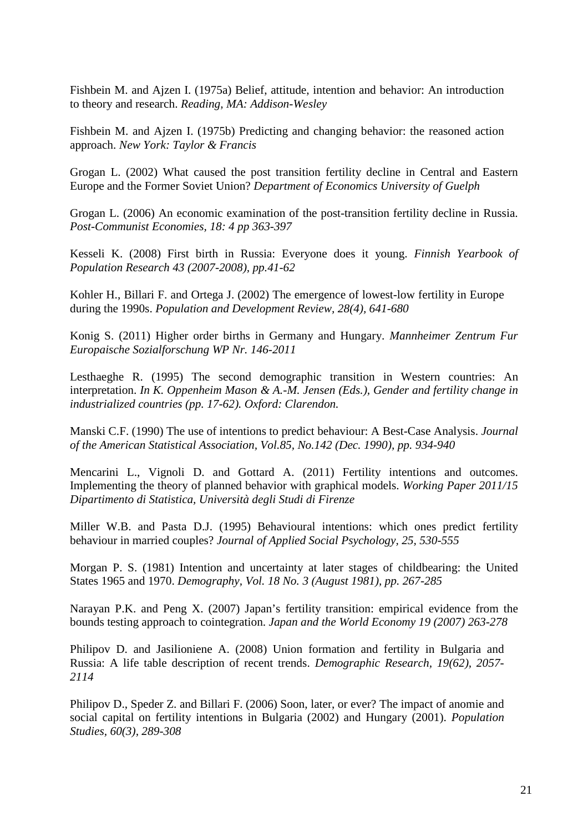Fishbein M. and Ajzen I. (1975a) Belief, attitude, intention and behavior: An introduction to theory and research. *Reading, MA: Addison-Wesley* 

Fishbein M. and Ajzen I. (1975b) Predicting and changing behavior: the reasoned action approach. *New York: Taylor & Francis* 

Grogan L. (2002) What caused the post transition fertility decline in Central and Eastern Europe and the Former Soviet Union? *Department of Economics University of Guelph*

Grogan L. (2006) An economic examination of the post-transition fertility decline in Russia. *Post-Communist Economies, 18: 4 pp 363-397*

Kesseli K. (2008) First birth in Russia: Everyone does it young. *Finnish Yearbook of Population Research 43 (2007-2008), pp.41-62*

Kohler H., Billari F. and Ortega J. (2002) The emergence of lowest-low fertility in Europe during the 1990s. *Population and Development Review, 28(4), 641-680* 

Konig S. (2011) Higher order births in Germany and Hungary. *Mannheimer Zentrum Fur Europaische Sozialforschung WP Nr. 146-2011*

Lesthaeghe R. (1995) The second demographic transition in Western countries: An interpretation. *In K. Oppenheim Mason & A.-M. Jensen (Eds.), Gender and fertility change in industrialized countries (pp. 17-62). Oxford: Clarendon.* 

Manski C.F. (1990) The use of intentions to predict behaviour: A Best-Case Analysis. *Journal of the American Statistical Association, Vol.85, No.142 (Dec. 1990), pp. 934-940*

Mencarini L., Vignoli D. and Gottard A. (2011) Fertility intentions and outcomes. Implementing the theory of planned behavior with graphical models. *Working Paper 2011/15 Dipartimento di Statistica, Università degli Studi di Firenze*

Miller W.B. and Pasta D.J. (1995) Behavioural intentions: which ones predict fertility behaviour in married couples? *Journal of Applied Social Psychology, 25, 530-555*

Morgan P. S. (1981) Intention and uncertainty at later stages of childbearing: the United States 1965 and 1970. *Demography, Vol. 18 No. 3 (August 1981), pp. 267-285* 

Narayan P.K. and Peng X. (2007) Japan's fertility transition: empirical evidence from the bounds testing approach to cointegration. *Japan and the World Economy 19 (2007) 263-278*

Philipov D. and Jasilioniene A. (2008) Union formation and fertility in Bulgaria and Russia: A life table description of recent trends. *Demographic Research, 19(62), 2057- 2114* 

Philipov D., Speder Z. and Billari F. (2006) Soon, later, or ever? The impact of anomie and social capital on fertility intentions in Bulgaria (2002) and Hungary (2001). *Population Studies, 60(3), 289-308*